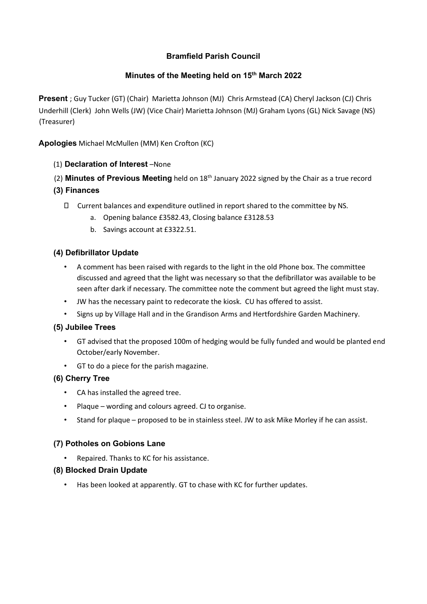# Bramfield Parish Council

## Minutes of the Meeting held on 15<sup>th</sup> March 2022

Present ; Guy Tucker (GT) (Chair) Marietta Johnson (MJ) Chris Armstead (CA) Cheryl Jackson (CJ) Chris Underhill (Clerk) John Wells (JW) (Vice Chair) Marietta Johnson (MJ) Graham Lyons (GL) Nick Savage (NS) (Treasurer)

Apologies Michael McMullen (MM) Ken Crofton (KC)

- (1) Declaration of Interest –None
- (2) **Minutes of Previous Meeting** held on  $18<sup>th</sup>$  January 2022 signed by the Chair as a true record
- (3) Finances
	- Current balances and expenditure outlined in report shared to the committee by NS.
		- a. Opening balance £3582.43, Closing balance £3128.53
		- b. Savings account at £3322.51.

## (4) Defibrillator Update

- A comment has been raised with regards to the light in the old Phone box. The committee discussed and agreed that the light was necessary so that the defibrillator was available to be seen after dark if necessary. The committee note the comment but agreed the light must stay.
- JW has the necessary paint to redecorate the kiosk. CU has offered to assist.
- Signs up by Village Hall and in the Grandison Arms and Hertfordshire Garden Machinery.

#### (5) Jubilee Trees

- GT advised that the proposed 100m of hedging would be fully funded and would be planted end October/early November.
- GT to do a piece for the parish magazine.

#### (6) Cherry Tree

- CA has installed the agreed tree.
- Plaque wording and colours agreed. CJ to organise.
- Stand for plaque proposed to be in stainless steel. JW to ask Mike Morley if he can assist.

#### (7) Potholes on Gobions Lane

- Repaired. Thanks to KC for his assistance.
- (8) Blocked Drain Update
	- Has been looked at apparently. GT to chase with KC for further updates.